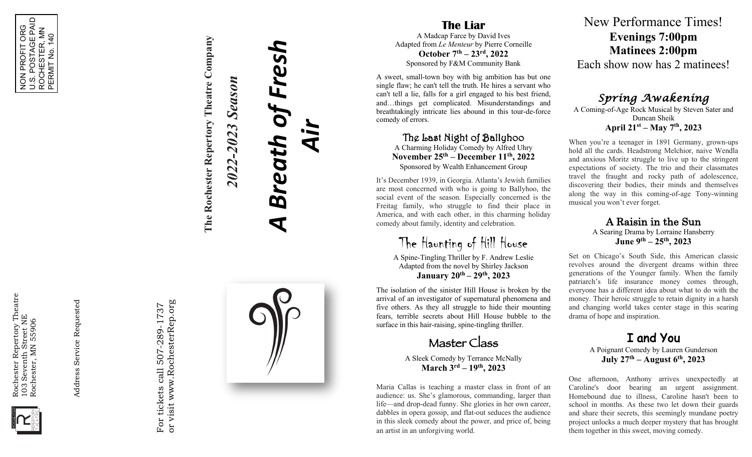

NON PROFIT ORG U.S. POSTAGE PAID ROCHESTER, MN PERMIT No. 140

NON PROFIT ORG<br>U.S. POSTAGE PAID<br>ROCHESTER, MN<br>PERMIT No. 140



Address Service Requested Address Service Requested

or visit www.RochesterRep.org or visit www.RochesterRep.org For tickets call 507-289-1737 For tickets call 507-289-1737



**The Liar** A Madcap Farce by David Ives Adapted from *Le Menteur* by Pierre Corneille **October 7th – 23rd , 2022**

Sponsored by F&M Community Bank

A sweet, small -town boy with big ambition has but one single flaw; he can't tell the truth. He hires a servant who can't tell a lie, falls for a girl engaged to his best friend, and…things get complicated. Misunderstandings and breathtakingly intricate lies abound in this tour -de -force comedy of errors.

The Last Night of Ballyhoo

A Charming Holiday Comedy by Alfred Uhry **November 25th – December 11th , 2022** Sponsored by Wealth Enhancement Group

It's December 1939 , in Georgia. Atlanta's Jewish families are most concerned with who is going to Ballyhoo, the social event of the season. Especially concerned is the Freitag family, who struggle to find their place in America, and with each other, in this charming holiday comedy about family, identity and celebration.

The Haunting of Hill House

A Spine -Tingling Thriller by F. Andrew Leslie Adapted from the novel by Shirley Jackson **January 20th – 29th , 2023**

The isolation of the sinister Hill House is broken by the arrival of an investigator of supernatural phenomena and five others. As they all struggle to hide their mounting fears, terrible secrets about Hill House bubble to the surface in this hair-raising, spine-tingling thriller.

Master Class

A Sleek Comedy by Terrance McNally **March 3rd – 19th, <sup>2023</sup>**

Maria Callas is teaching a master class in front of an audience: us. She's glamorous, commanding, larger than life —and drop -dead funny. She glories in her own career, dabbles in opera gossip, and flat -out seduces the audience in this sleek comedy about the power, and price of, being an artist in an unforgiving world.

New Performance Times! **Evenings 7:00pm Matinee s 2:00pm** Each show now has 2 matinees!

*Spring Awakening* 

A Coming -of-Age Rock Musical by Steven Sater and Duncan Sheik **April 21st – May 7th , 2023**

When you're a teenager in 1891 Germany, grown -ups hold all the cards. Headstrong Melchior, naive Wendla and anxious Moritz struggle to live up to the stringent expectations of society . The trio and their classmates travel the fraught and rocky path of adolescence, discovering their bodies, their minds and themselves along the way in this coming -of-age Tony -winning musical you won't ever forget.

A Raisin in the Sun

A Searing Drama by Lorraine Hansberry **June 9th – 25th , 2023**

Set on Chicago's South Side, this American classic revolves around the divergent dreams within three generations of the Younger family. When the family patriarch's life insurance money comes through, everyone has a different idea about what to do with the money. Their heroic struggle to retain dignity in a harsh and changing world takes center stage in this searing drama of hope and inspiration.

> I and You A Poignant Comedy by Lauren Gunderson **July 27th – August 6th , 2023**

One afternoon, Anthony arrives unexpectedly at Caroline's door bearing an urgent assignment. Homebound due to illness, Caroline hasn't been to school in months. As these two let down their guards and share their secrets, this seemingly mundane poetry project unlocks a much deeper mystery that has brought them together in this sweet, moving comedy.

*A Breath of Fresh* of Fres. **Season** *2022-2023 Season* 2022-2023 Breath

*Air*

**The Rochester Repertory Theatre Company**

The Rochester Repertory Theatre Company